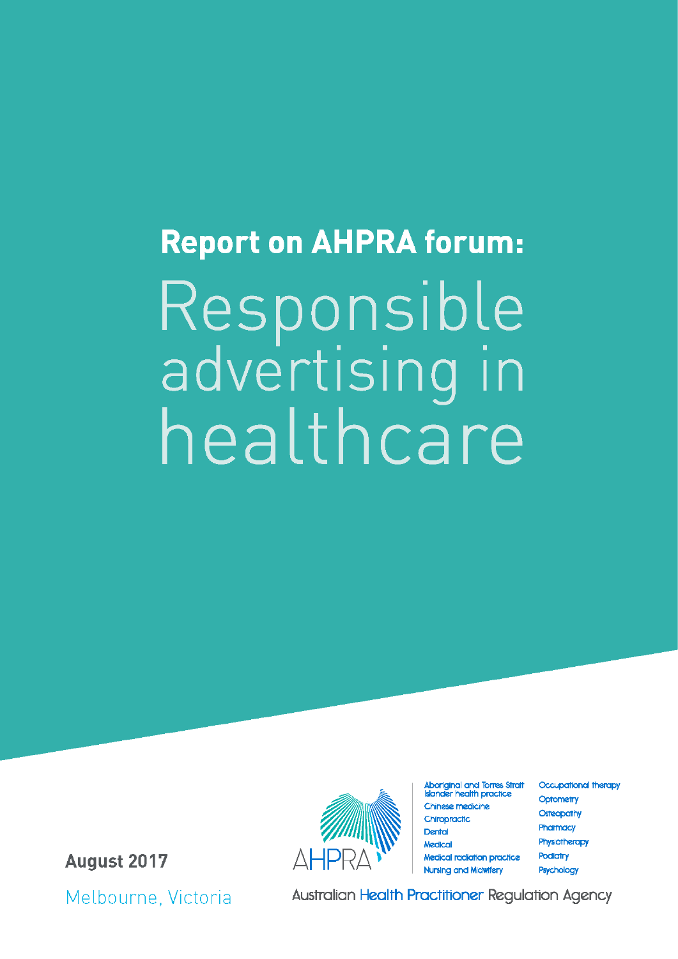# **Report on AHPRA forum:** Responsible<br>advertising in healthcare

**August 2017** 

Melbourne, Victoria



Aboriginal and Torres Strait<br>Islander health practice Chinese medicine Chiropractic Dental Medical **Medical radiation practice Nursing and Midwifery** 

**Occupational therapy** Optometry Osteopathy Pharmacy Physiotherapy **Podiatry** Psychology

**Australian Health Practitioner Regulation Agency**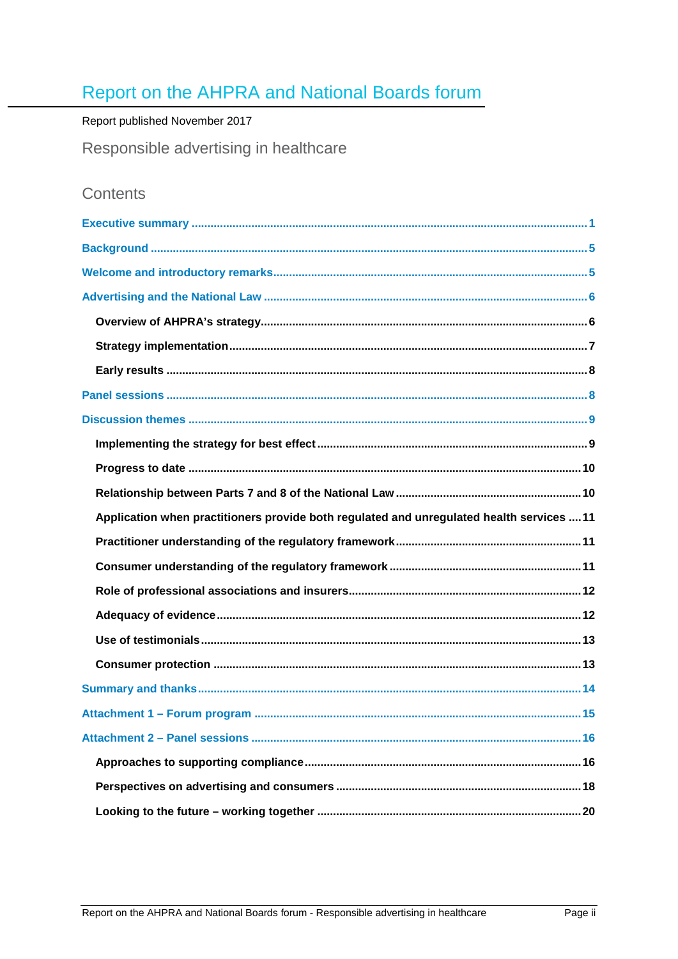# Report on the AHPRA and National Boards forum

## Report published November 2017

Responsible advertising in healthcare

# Contents

| Application when practitioners provide both regulated and unregulated health services  11 |
|-------------------------------------------------------------------------------------------|
|                                                                                           |
|                                                                                           |
|                                                                                           |
|                                                                                           |
|                                                                                           |
|                                                                                           |
|                                                                                           |
|                                                                                           |
|                                                                                           |
|                                                                                           |
|                                                                                           |
|                                                                                           |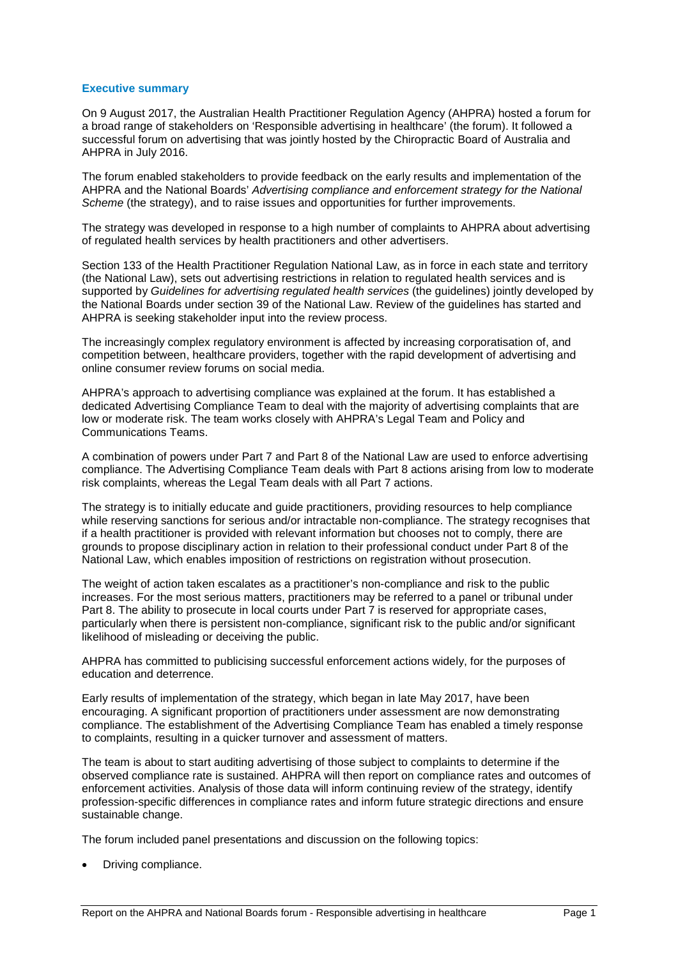### <span id="page-2-0"></span>**Executive summary**

On 9 August 2017, the Australian Health Practitioner Regulation Agency (AHPRA) hosted a forum for a broad range of stakeholders on 'Responsible advertising in healthcare' (the forum). It followed a successful forum on advertising that was jointly hosted by the Chiropractic Board of Australia and AHPRA in July 2016.

The forum enabled stakeholders to provide feedback on the early results and implementation of the AHPRA and the National Boards' *Advertising compliance and enforcement strategy for the National Scheme* (the strategy), and to raise issues and opportunities for further improvements.

The strategy was developed in response to a high number of complaints to AHPRA about advertising of regulated health services by health practitioners and other advertisers.

Section 133 of the Health Practitioner Regulation National Law, as in force in each state and territory (the National Law), sets out advertising restrictions in relation to regulated health services and is supported by *Guidelines for advertising regulated health services* (the guidelines) jointly developed by the National Boards under section 39 of the National Law. Review of the guidelines has started and AHPRA is seeking stakeholder input into the review process.

The increasingly complex regulatory environment is affected by increasing corporatisation of, and competition between, healthcare providers, together with the rapid development of advertising and online consumer review forums on social media.

AHPRA's approach to advertising compliance was explained at the forum. It has established a dedicated Advertising Compliance Team to deal with the majority of advertising complaints that are low or moderate risk. The team works closely with AHPRA's Legal Team and Policy and Communications Teams.

A combination of powers under Part 7 and Part 8 of the National Law are used to enforce advertising compliance. The Advertising Compliance Team deals with Part 8 actions arising from low to moderate risk complaints, whereas the Legal Team deals with all Part 7 actions.

The strategy is to initially educate and guide practitioners, providing resources to help compliance while reserving sanctions for serious and/or intractable non-compliance. The strategy recognises that if a health practitioner is provided with relevant information but chooses not to comply, there are grounds to propose disciplinary action in relation to their professional conduct under Part 8 of the National Law, which enables imposition of restrictions on registration without prosecution.

The weight of action taken escalates as a practitioner's non-compliance and risk to the public increases. For the most serious matters, practitioners may be referred to a panel or tribunal under Part 8. The ability to prosecute in local courts under Part 7 is reserved for appropriate cases, particularly when there is persistent non-compliance, significant risk to the public and/or significant likelihood of misleading or deceiving the public.

AHPRA has committed to publicising successful enforcement actions widely, for the purposes of education and deterrence.

Early results of implementation of the strategy, which began in late May 2017, have been encouraging. A significant proportion of practitioners under assessment are now demonstrating compliance. The establishment of the Advertising Compliance Team has enabled a timely response to complaints, resulting in a quicker turnover and assessment of matters.

The team is about to start auditing advertising of those subject to complaints to determine if the observed compliance rate is sustained. AHPRA will then report on compliance rates and outcomes of enforcement activities. Analysis of those data will inform continuing review of the strategy, identify profession-specific differences in compliance rates and inform future strategic directions and ensure sustainable change.

The forum included panel presentations and discussion on the following topics:

• Driving compliance.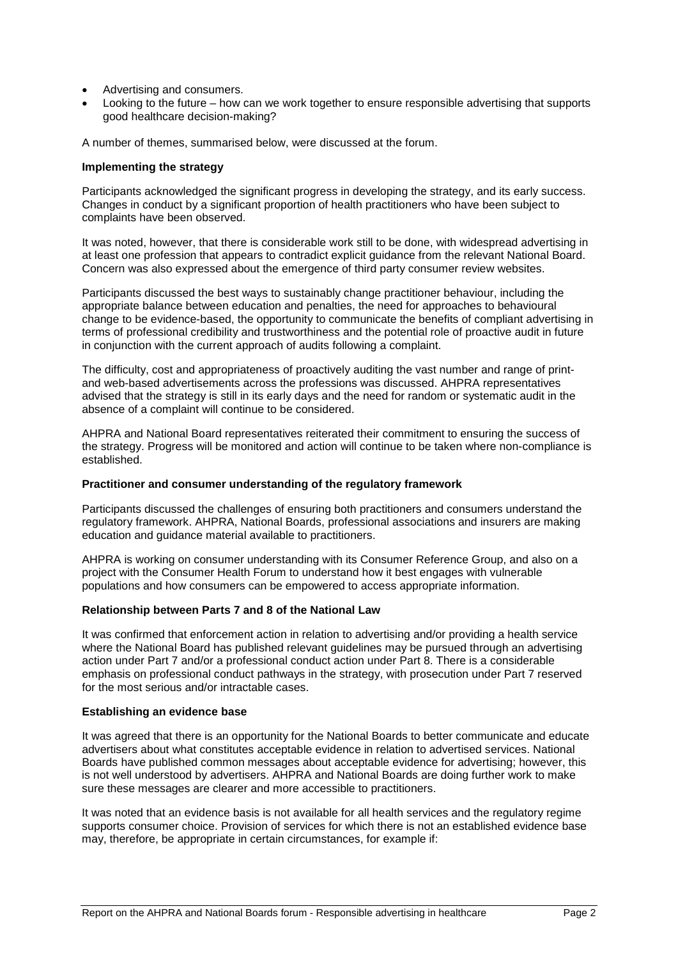- Advertising and consumers.
- Looking to the future how can we work together to ensure responsible advertising that supports good healthcare decision-making?

A number of themes, summarised below, were discussed at the forum.

### **Implementing the strategy**

Participants acknowledged the significant progress in developing the strategy, and its early success. Changes in conduct by a significant proportion of health practitioners who have been subject to complaints have been observed.

It was noted, however, that there is considerable work still to be done, with widespread advertising in at least one profession that appears to contradict explicit guidance from the relevant National Board. Concern was also expressed about the emergence of third party consumer review websites.

Participants discussed the best ways to sustainably change practitioner behaviour, including the appropriate balance between education and penalties, the need for approaches to behavioural change to be evidence-based, the opportunity to communicate the benefits of compliant advertising in terms of professional credibility and trustworthiness and the potential role of proactive audit in future in conjunction with the current approach of audits following a complaint.

The difficulty, cost and appropriateness of proactively auditing the vast number and range of printand web-based advertisements across the professions was discussed. AHPRA representatives advised that the strategy is still in its early days and the need for random or systematic audit in the absence of a complaint will continue to be considered.

AHPRA and National Board representatives reiterated their commitment to ensuring the success of the strategy. Progress will be monitored and action will continue to be taken where non-compliance is established.

### **Practitioner and consumer understanding of the regulatory framework**

Participants discussed the challenges of ensuring both practitioners and consumers understand the regulatory framework. AHPRA, National Boards, professional associations and insurers are making education and guidance material available to practitioners.

AHPRA is working on consumer understanding with its Consumer Reference Group, and also on a project with the Consumer Health Forum to understand how it best engages with vulnerable populations and how consumers can be empowered to access appropriate information.

### **Relationship between Parts 7 and 8 of the National Law**

It was confirmed that enforcement action in relation to advertising and/or providing a health service where the National Board has published relevant guidelines may be pursued through an advertising action under Part 7 and/or a professional conduct action under Part 8. There is a considerable emphasis on professional conduct pathways in the strategy, with prosecution under Part 7 reserved for the most serious and/or intractable cases.

### **Establishing an evidence base**

It was agreed that there is an opportunity for the National Boards to better communicate and educate advertisers about what constitutes acceptable evidence in relation to advertised services. National Boards have published common messages about acceptable evidence for advertising; however, this is not well understood by advertisers. AHPRA and National Boards are doing further work to make sure these messages are clearer and more accessible to practitioners.

It was noted that an evidence basis is not available for all health services and the regulatory regime supports consumer choice. Provision of services for which there is not an established evidence base may, therefore, be appropriate in certain circumstances, for example if: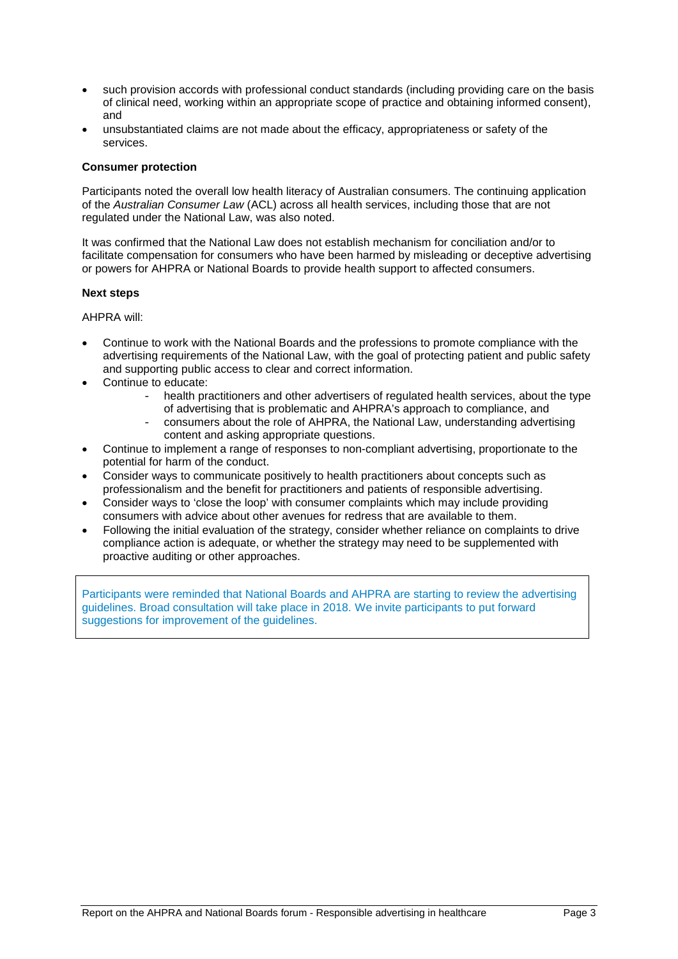- such provision accords with professional conduct standards (including providing care on the basis of clinical need, working within an appropriate scope of practice and obtaining informed consent), and
- unsubstantiated claims are not made about the efficacy, appropriateness or safety of the services.

### **Consumer protection**

Participants noted the overall low health literacy of Australian consumers. The continuing application of the *Australian Consumer Law* (ACL) across all health services, including those that are not regulated under the National Law, was also noted.

It was confirmed that the National Law does not establish mechanism for conciliation and/or to facilitate compensation for consumers who have been harmed by misleading or deceptive advertising or powers for AHPRA or National Boards to provide health support to affected consumers.

### **Next steps**

AHPRA will:

- Continue to work with the National Boards and the professions to promote compliance with the advertising requirements of the National Law, with the goal of protecting patient and public safety and supporting public access to clear and correct information.
- Continue to educate:
	- health practitioners and other advertisers of regulated health services, about the type of advertising that is problematic and AHPRA's approach to compliance, and
	- consumers about the role of AHPRA, the National Law, understanding advertising content and asking appropriate questions.
- Continue to implement a range of responses to non-compliant advertising, proportionate to the potential for harm of the conduct.
- Consider ways to communicate positively to health practitioners about concepts such as professionalism and the benefit for practitioners and patients of responsible advertising.
- Consider ways to 'close the loop' with consumer complaints which may include providing consumers with advice about other avenues for redress that are available to them.
- Following the initial evaluation of the strategy, consider whether reliance on complaints to drive compliance action is adequate, or whether the strategy may need to be supplemented with proactive auditing or other approaches.

<span id="page-4-0"></span>Participants were reminded that National Boards and AHPRA are starting to review the advertising guidelines. Broad consultation will take place in 2018. We invite participants to put forward suggestions for improvement of the guidelines.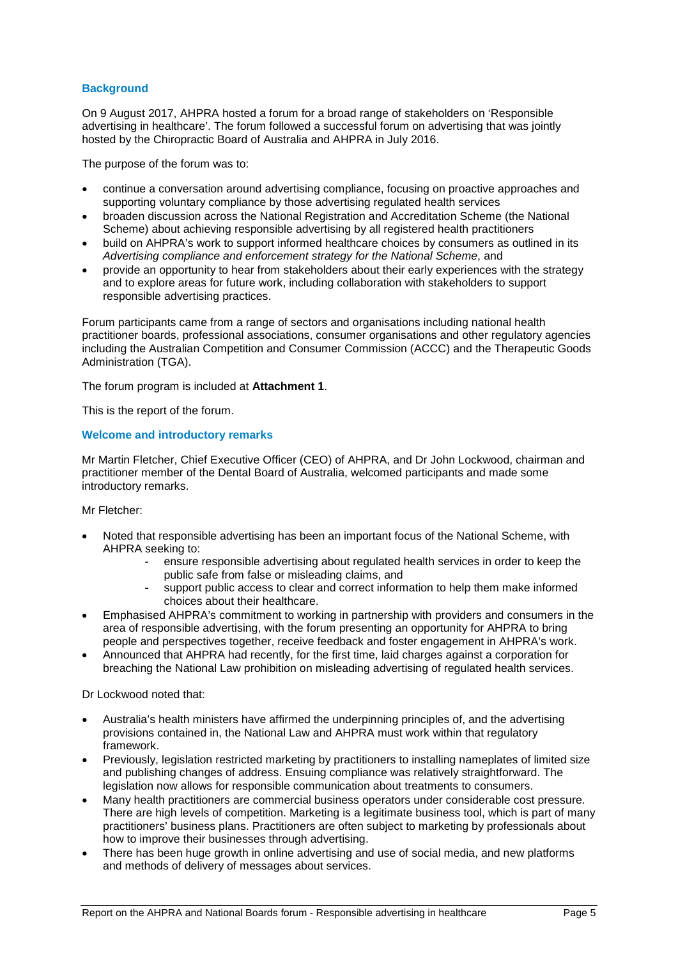### **Background**

On 9 August 2017, AHPRA hosted a forum for a broad range of stakeholders on 'Responsible advertising in healthcare'. The forum followed a successful forum on advertising that was jointly hosted by the Chiropractic Board of Australia and AHPRA in July 2016.

The purpose of the forum was to:

- continue a conversation around advertising compliance, focusing on proactive approaches and supporting voluntary compliance by those advertising regulated health services
- broaden discussion across the National Registration and Accreditation Scheme (the National Scheme) about achieving responsible advertising by all registered health practitioners
- build on AHPRA's work to support informed healthcare choices by consumers as outlined in its *Advertising compliance and enforcement strategy for the National Scheme*, and
- provide an opportunity to hear from stakeholders about their early experiences with the strategy and to explore areas for future work, including collaboration with stakeholders to support responsible advertising practices.

Forum participants came from a range of sectors and organisations including national health practitioner boards, professional associations, consumer organisations and other regulatory agencies including the Australian Competition and Consumer Commission (ACCC) and the Therapeutic Goods Administration (TGA).

The forum program is included at **Attachment 1**.

This is the report of the forum.

### <span id="page-6-0"></span>**Welcome and introductory remarks**

Mr Martin Fletcher, Chief Executive Officer (CEO) of AHPRA, and Dr John Lockwood, chairman and practitioner member of the Dental Board of Australia, welcomed participants and made some introductory remarks.

Mr Fletcher:

- Noted that responsible advertising has been an important focus of the National Scheme, with AHPRA seeking to:
	- ensure responsible advertising about regulated health services in order to keep the public safe from false or misleading claims, and
	- support public access to clear and correct information to help them make informed choices about their healthcare.
- Emphasised AHPRA's commitment to working in partnership with providers and consumers in the area of responsible advertising, with the forum presenting an opportunity for AHPRA to bring people and perspectives together, receive feedback and foster engagement in AHPRA's work.
- Announced that AHPRA had recently, for the first time, laid charges against a corporation for breaching the National Law prohibition on misleading advertising of regulated health services.

Dr Lockwood noted that:

- Australia's health ministers have affirmed the underpinning principles of, and the advertising provisions contained in, the National Law and AHPRA must work within that regulatory framework.
- Previously, legislation restricted marketing by practitioners to installing nameplates of limited size and publishing changes of address. Ensuing compliance was relatively straightforward. The legislation now allows for responsible communication about treatments to consumers.
- Many health practitioners are commercial business operators under considerable cost pressure. There are high levels of competition. Marketing is a legitimate business tool, which is part of many practitioners' business plans. Practitioners are often subject to marketing by professionals about how to improve their businesses through advertising.
- There has been huge growth in online advertising and use of social media, and new platforms and methods of delivery of messages about services.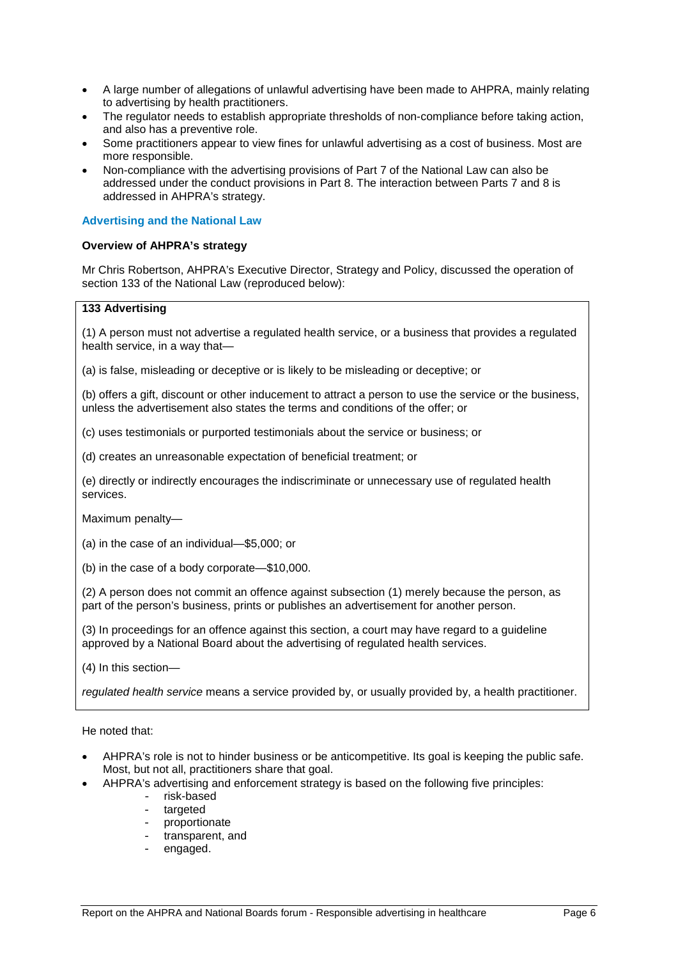- A large number of allegations of unlawful advertising have been made to AHPRA, mainly relating to advertising by health practitioners.
- The regulator needs to establish appropriate thresholds of non-compliance before taking action, and also has a preventive role.
- Some practitioners appear to view fines for unlawful advertising as a cost of business. Most are more responsible.
- Non-compliance with the advertising provisions of Part 7 of the National Law can also be addressed under the conduct provisions in Part 8. The interaction between Parts 7 and 8 is addressed in AHPRA's strategy.

### <span id="page-7-0"></span>**Advertising and the National Law**

### <span id="page-7-1"></span>**Overview of AHPRA's strategy**

Mr Chris Robertson, AHPRA's Executive Director, Strategy and Policy, discussed the operation of section 133 of the National Law (reproduced below):

### **133 Advertising**

(1) A person must not advertise a regulated health service, or a business that provides a regulated health service, in a way that—

(a) is false, misleading or deceptive or is likely to be misleading or deceptive; or

(b) offers a gift, discount or other inducement to attract a person to use the service or the business, unless the advertisement also states the terms and conditions of the offer; or

(c) uses testimonials or purported testimonials about the service or business; or

(d) creates an unreasonable expectation of beneficial treatment; or

(e) directly or indirectly encourages the indiscriminate or unnecessary use of regulated health services.

Maximum penalty—

(a) in the case of an individual—\$5,000; or

(b) in the case of a body corporate—\$10,000.

(2) A person does not commit an offence against subsection (1) merely because the person, as part of the person's business, prints or publishes an advertisement for another person.

(3) In proceedings for an offence against this section, a court may have regard to a guideline approved by a National Board about the advertising of regulated health services.

(4) In this section—

*regulated health service* means a service provided by, or usually provided by, a health practitioner.

He noted that:

- AHPRA's role is not to hinder business or be anticompetitive. Its goal is keeping the public safe. Most, but not all, practitioners share that goal.
- AHPRA's advertising and enforcement strategy is based on the following five principles:
	- risk-based<br>- targeted
	- targeted
	- proportionate
	- transparent, and
	- engaged.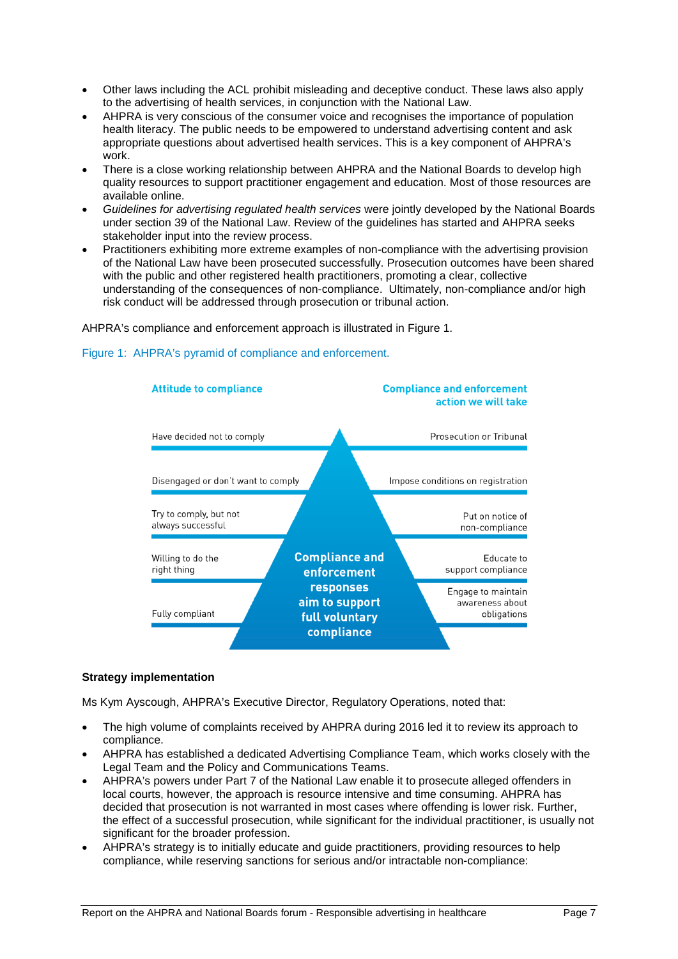- Other laws including the ACL prohibit misleading and deceptive conduct. These laws also apply to the advertising of health services, in conjunction with the National Law.
- AHPRA is very conscious of the consumer voice and recognises the importance of population health literacy. The public needs to be empowered to understand advertising content and ask appropriate questions about advertised health services. This is a key component of AHPRA's work.
- There is a close working relationship between AHPRA and the National Boards to develop high quality resources to support practitioner engagement and education. Most of those resources are available online.
- *Guidelines for advertising regulated health services* were jointly developed by the National Boards under section 39 of the National Law. Review of the guidelines has started and AHPRA seeks stakeholder input into the review process.
- <span id="page-8-1"></span>• Practitioners exhibiting more extreme examples of non-compliance with the advertising provision of the National Law have been prosecuted successfully. Prosecution outcomes have been shared with the public and other registered health practitioners, promoting a clear, collective understanding of the consequences of non-compliance. Ultimately, non-compliance and/or high risk conduct will be addressed through prosecution or tribunal action.

AHPRA's compliance and enforcement approach is illustrated in [Figure 1.](#page-8-1)



### Figure 1: AHPRA's pyramid of compliance and enforcement.

### <span id="page-8-0"></span>**Strategy implementation**

Ms Kym Ayscough, AHPRA's Executive Director, Regulatory Operations, noted that:

- The high volume of complaints received by AHPRA during 2016 led it to review its approach to compliance.
- AHPRA has established a dedicated Advertising Compliance Team, which works closely with the Legal Team and the Policy and Communications Teams.
- AHPRA's powers under Part 7 of the National Law enable it to prosecute alleged offenders in local courts, however, the approach is resource intensive and time consuming. AHPRA has decided that prosecution is not warranted in most cases where offending is lower risk. Further, the effect of a successful prosecution, while significant for the individual practitioner, is usually not significant for the broader profession.
- AHPRA's strategy is to initially educate and guide practitioners, providing resources to help compliance, while reserving sanctions for serious and/or intractable non-compliance: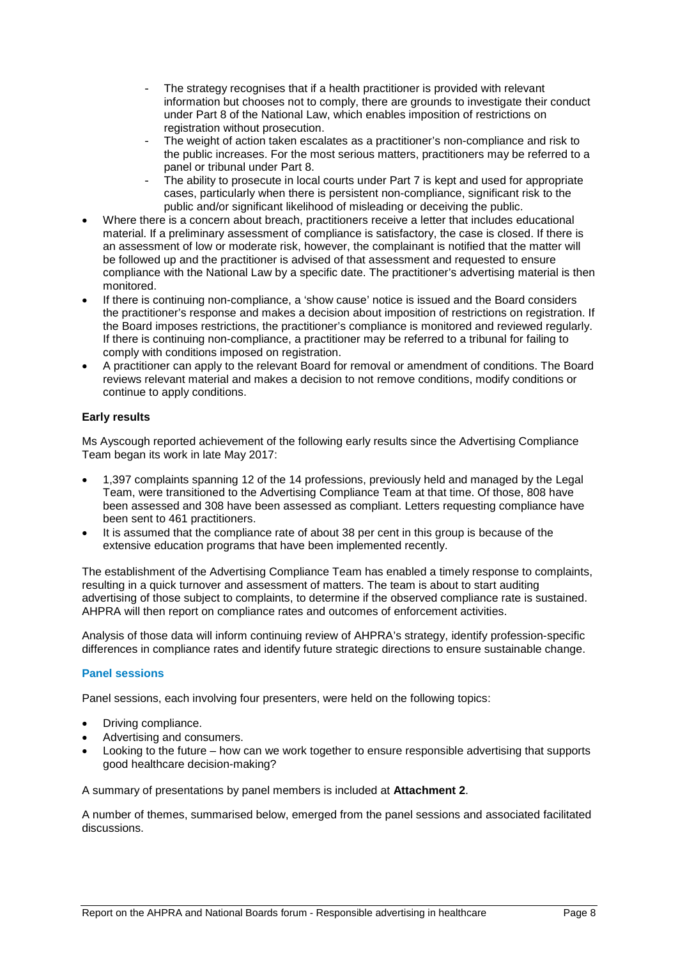- The strategy recognises that if a health practitioner is provided with relevant information but chooses not to comply, there are grounds to investigate their conduct under Part 8 of the National Law, which enables imposition of restrictions on registration without prosecution.
- The weight of action taken escalates as a practitioner's non-compliance and risk to the public increases. For the most serious matters, practitioners may be referred to a panel or tribunal under Part 8.
- The ability to prosecute in local courts under Part 7 is kept and used for appropriate cases, particularly when there is persistent non-compliance, significant risk to the public and/or significant likelihood of misleading or deceiving the public.
- Where there is a concern about breach, practitioners receive a letter that includes educational material. If a preliminary assessment of compliance is satisfactory, the case is closed. If there is an assessment of low or moderate risk, however, the complainant is notified that the matter will be followed up and the practitioner is advised of that assessment and requested to ensure compliance with the National Law by a specific date. The practitioner's advertising material is then monitored.
- If there is continuing non-compliance, a 'show cause' notice is issued and the Board considers the practitioner's response and makes a decision about imposition of restrictions on registration. If the Board imposes restrictions, the practitioner's compliance is monitored and reviewed regularly. If there is continuing non-compliance, a practitioner may be referred to a tribunal for failing to comply with conditions imposed on registration.
- A practitioner can apply to the relevant Board for removal or amendment of conditions. The Board reviews relevant material and makes a decision to not remove conditions, modify conditions or continue to apply conditions.

### <span id="page-9-0"></span>**Early results**

Ms Ayscough reported achievement of the following early results since the Advertising Compliance Team began its work in late May 2017:

- 1,397 complaints spanning 12 of the 14 professions, previously held and managed by the Legal Team, were transitioned to the Advertising Compliance Team at that time. Of those, 808 have been assessed and 308 have been assessed as compliant. Letters requesting compliance have been sent to 461 practitioners.
- It is assumed that the compliance rate of about 38 per cent in this group is because of the extensive education programs that have been implemented recently.

The establishment of the Advertising Compliance Team has enabled a timely response to complaints, resulting in a quick turnover and assessment of matters. The team is about to start auditing advertising of those subject to complaints, to determine if the observed compliance rate is sustained. AHPRA will then report on compliance rates and outcomes of enforcement activities.

Analysis of those data will inform continuing review of AHPRA's strategy, identify profession-specific differences in compliance rates and identify future strategic directions to ensure sustainable change.

### <span id="page-9-1"></span>**Panel sessions**

Panel sessions, each involving four presenters, were held on the following topics:

- Driving compliance.
- Advertising and consumers.
- Looking to the future how can we work together to ensure responsible advertising that supports good healthcare decision-making?

A summary of presentations by panel members is included at **Attachment 2**.

A number of themes, summarised below, emerged from the panel sessions and associated facilitated discussions.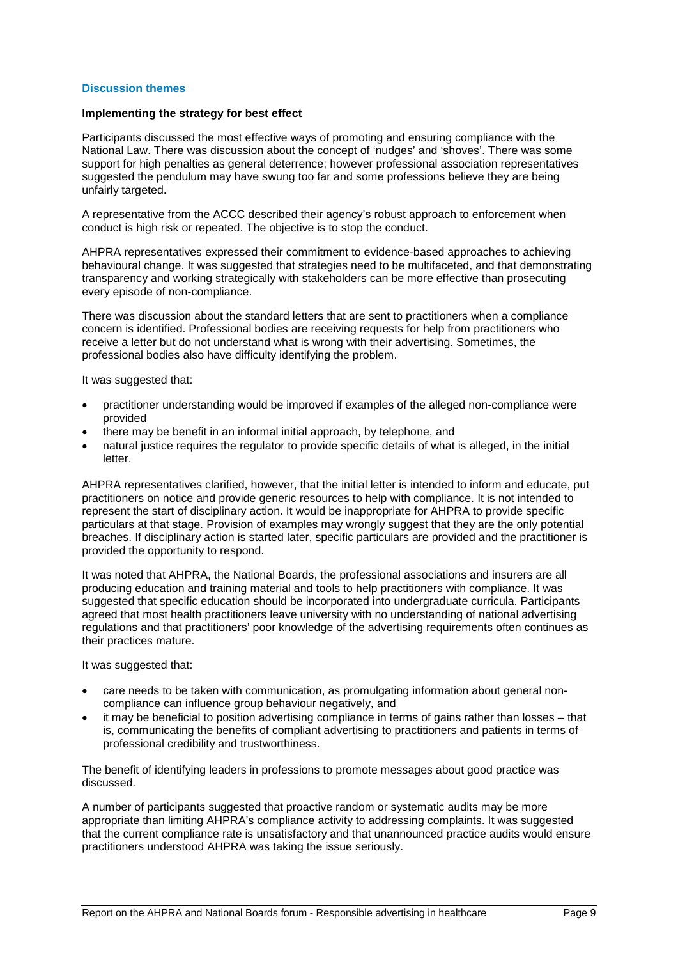### <span id="page-10-0"></span>**Discussion themes**

### <span id="page-10-1"></span>**Implementing the strategy for best effect**

Participants discussed the most effective ways of promoting and ensuring compliance with the National Law. There was discussion about the concept of 'nudges' and 'shoves'. There was some support for high penalties as general deterrence; however professional association representatives suggested the pendulum may have swung too far and some professions believe they are being unfairly targeted.

A representative from the ACCC described their agency's robust approach to enforcement when conduct is high risk or repeated. The objective is to stop the conduct.

AHPRA representatives expressed their commitment to evidence-based approaches to achieving behavioural change. It was suggested that strategies need to be multifaceted, and that demonstrating transparency and working strategically with stakeholders can be more effective than prosecuting every episode of non-compliance.

There was discussion about the standard letters that are sent to practitioners when a compliance concern is identified. Professional bodies are receiving requests for help from practitioners who receive a letter but do not understand what is wrong with their advertising. Sometimes, the professional bodies also have difficulty identifying the problem.

It was suggested that:

- practitioner understanding would be improved if examples of the alleged non-compliance were provided
- there may be benefit in an informal initial approach, by telephone, and
- natural justice requires the regulator to provide specific details of what is alleged, in the initial letter.

AHPRA representatives clarified, however, that the initial letter is intended to inform and educate, put practitioners on notice and provide generic resources to help with compliance. It is not intended to represent the start of disciplinary action. It would be inappropriate for AHPRA to provide specific particulars at that stage. Provision of examples may wrongly suggest that they are the only potential breaches. If disciplinary action is started later, specific particulars are provided and the practitioner is provided the opportunity to respond.

It was noted that AHPRA, the National Boards, the professional associations and insurers are all producing education and training material and tools to help practitioners with compliance. It was suggested that specific education should be incorporated into undergraduate curricula. Participants agreed that most health practitioners leave university with no understanding of national advertising regulations and that practitioners' poor knowledge of the advertising requirements often continues as their practices mature.

It was suggested that:

- care needs to be taken with communication, as promulgating information about general noncompliance can influence group behaviour negatively, and
- it may be beneficial to position advertising compliance in terms of gains rather than losses that is, communicating the benefits of compliant advertising to practitioners and patients in terms of professional credibility and trustworthiness.

The benefit of identifying leaders in professions to promote messages about good practice was discussed.

A number of participants suggested that proactive random or systematic audits may be more appropriate than limiting AHPRA's compliance activity to addressing complaints. It was suggested that the current compliance rate is unsatisfactory and that unannounced practice audits would ensure practitioners understood AHPRA was taking the issue seriously.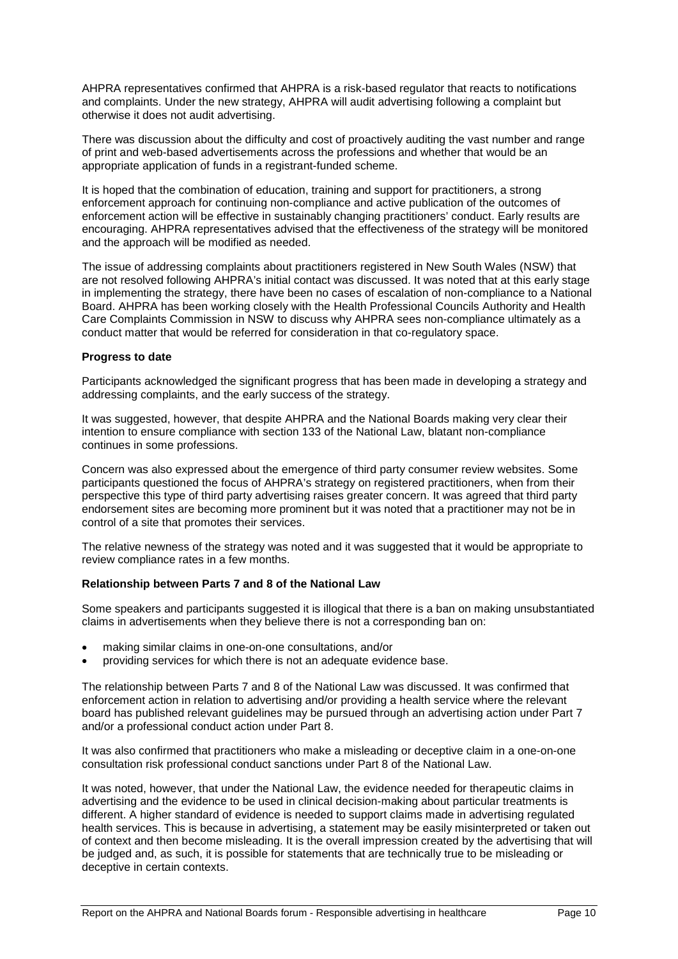AHPRA representatives confirmed that AHPRA is a risk-based regulator that reacts to notifications and complaints. Under the new strategy, AHPRA will audit advertising following a complaint but otherwise it does not audit advertising.

There was discussion about the difficulty and cost of proactively auditing the vast number and range of print and web-based advertisements across the professions and whether that would be an appropriate application of funds in a registrant-funded scheme.

It is hoped that the combination of education, training and support for practitioners, a strong enforcement approach for continuing non-compliance and active publication of the outcomes of enforcement action will be effective in sustainably changing practitioners' conduct. Early results are encouraging. AHPRA representatives advised that the effectiveness of the strategy will be monitored and the approach will be modified as needed.

The issue of addressing complaints about practitioners registered in New South Wales (NSW) that are not resolved following AHPRA's initial contact was discussed. It was noted that at this early stage in implementing the strategy, there have been no cases of escalation of non-compliance to a National Board. AHPRA has been working closely with the Health Professional Councils Authority and Health Care Complaints Commission in NSW to discuss why AHPRA sees non-compliance ultimately as a conduct matter that would be referred for consideration in that co-regulatory space.

### <span id="page-11-0"></span>**Progress to date**

Participants acknowledged the significant progress that has been made in developing a strategy and addressing complaints, and the early success of the strategy.

It was suggested, however, that despite AHPRA and the National Boards making very clear their intention to ensure compliance with section 133 of the National Law, blatant non-compliance continues in some professions.

Concern was also expressed about the emergence of third party consumer review websites. Some participants questioned the focus of AHPRA's strategy on registered practitioners, when from their perspective this type of third party advertising raises greater concern. It was agreed that third party endorsement sites are becoming more prominent but it was noted that a practitioner may not be in control of a site that promotes their services.

The relative newness of the strategy was noted and it was suggested that it would be appropriate to review compliance rates in a few months.

### <span id="page-11-1"></span>**Relationship between Parts 7 and 8 of the National Law**

Some speakers and participants suggested it is illogical that there is a ban on making unsubstantiated claims in advertisements when they believe there is not a corresponding ban on:

- making similar claims in one-on-one consultations, and/or
- providing services for which there is not an adequate evidence base.

The relationship between Parts 7 and 8 of the National Law was discussed. It was confirmed that enforcement action in relation to advertising and/or providing a health service where the relevant board has published relevant guidelines may be pursued through an advertising action under Part 7 and/or a professional conduct action under Part 8.

It was also confirmed that practitioners who make a misleading or deceptive claim in a one-on-one consultation risk professional conduct sanctions under Part 8 of the National Law.

<span id="page-11-2"></span>It was noted, however, that under the National Law, the evidence needed for therapeutic claims in advertising and the evidence to be used in clinical decision-making about particular treatments is different. A higher standard of evidence is needed to support claims made in advertising regulated health services. This is because in advertising, a statement may be easily misinterpreted or taken out of context and then become misleading. It is the overall impression created by the advertising that will be judged and, as such, it is possible for statements that are technically true to be misleading or deceptive in certain contexts.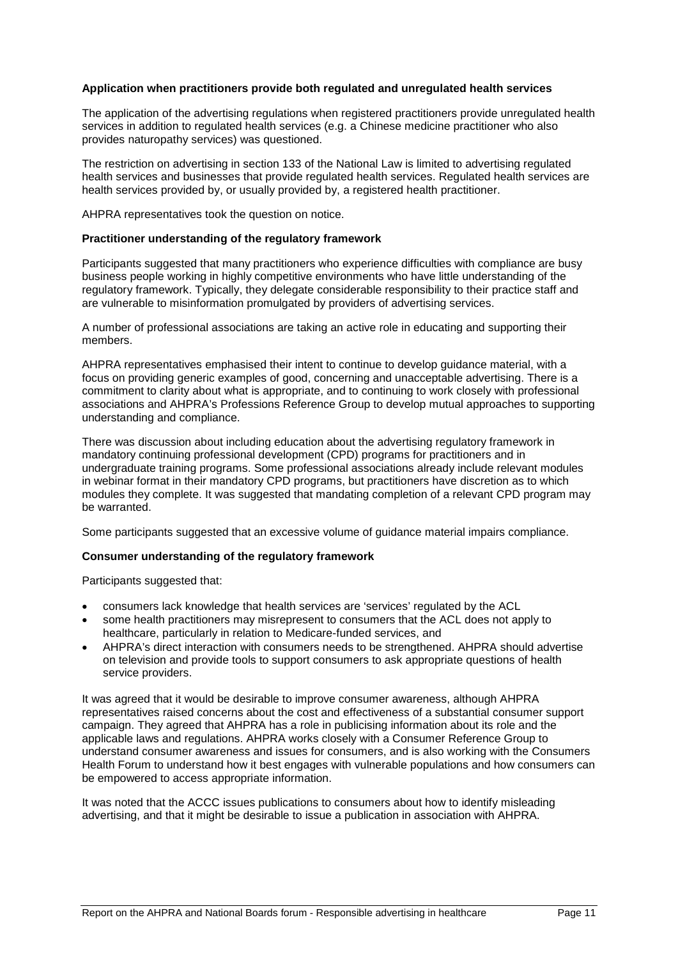### **Application when practitioners provide both regulated and unregulated health services**

The application of the advertising regulations when registered practitioners provide unregulated health services in addition to regulated health services (e.g. a Chinese medicine practitioner who also provides naturopathy services) was questioned.

The restriction on advertising in section 133 of the National Law is limited to advertising regulated health services and businesses that provide regulated health services. Regulated health services are health services provided by, or usually provided by, a registered health practitioner.

AHPRA representatives took the question on notice.

### <span id="page-12-0"></span>**Practitioner understanding of the regulatory framework**

Participants suggested that many practitioners who experience difficulties with compliance are busy business people working in highly competitive environments who have little understanding of the regulatory framework. Typically, they delegate considerable responsibility to their practice staff and are vulnerable to misinformation promulgated by providers of advertising services.

A number of professional associations are taking an active role in educating and supporting their members.

AHPRA representatives emphasised their intent to continue to develop guidance material, with a focus on providing generic examples of good, concerning and unacceptable advertising. There is a commitment to clarity about what is appropriate, and to continuing to work closely with professional associations and AHPRA's Professions Reference Group to develop mutual approaches to supporting understanding and compliance.

There was discussion about including education about the advertising regulatory framework in mandatory continuing professional development (CPD) programs for practitioners and in undergraduate training programs. Some professional associations already include relevant modules in webinar format in their mandatory CPD programs, but practitioners have discretion as to which modules they complete. It was suggested that mandating completion of a relevant CPD program may be warranted.

Some participants suggested that an excessive volume of guidance material impairs compliance.

### <span id="page-12-1"></span>**Consumer understanding of the regulatory framework**

Participants suggested that:

- consumers lack knowledge that health services are 'services' regulated by the ACL
- some health practitioners may misrepresent to consumers that the ACL does not apply to healthcare, particularly in relation to Medicare-funded services, and
- AHPRA's direct interaction with consumers needs to be strengthened. AHPRA should advertise on television and provide tools to support consumers to ask appropriate questions of health service providers.

It was agreed that it would be desirable to improve consumer awareness, although AHPRA representatives raised concerns about the cost and effectiveness of a substantial consumer support campaign. They agreed that AHPRA has a role in publicising information about its role and the applicable laws and regulations. AHPRA works closely with a Consumer Reference Group to understand consumer awareness and issues for consumers, and is also working with the Consumers Health Forum to understand how it best engages with vulnerable populations and how consumers can be empowered to access appropriate information.

<span id="page-12-2"></span>It was noted that the ACCC issues publications to consumers about how to identify misleading advertising, and that it might be desirable to issue a publication in association with AHPRA.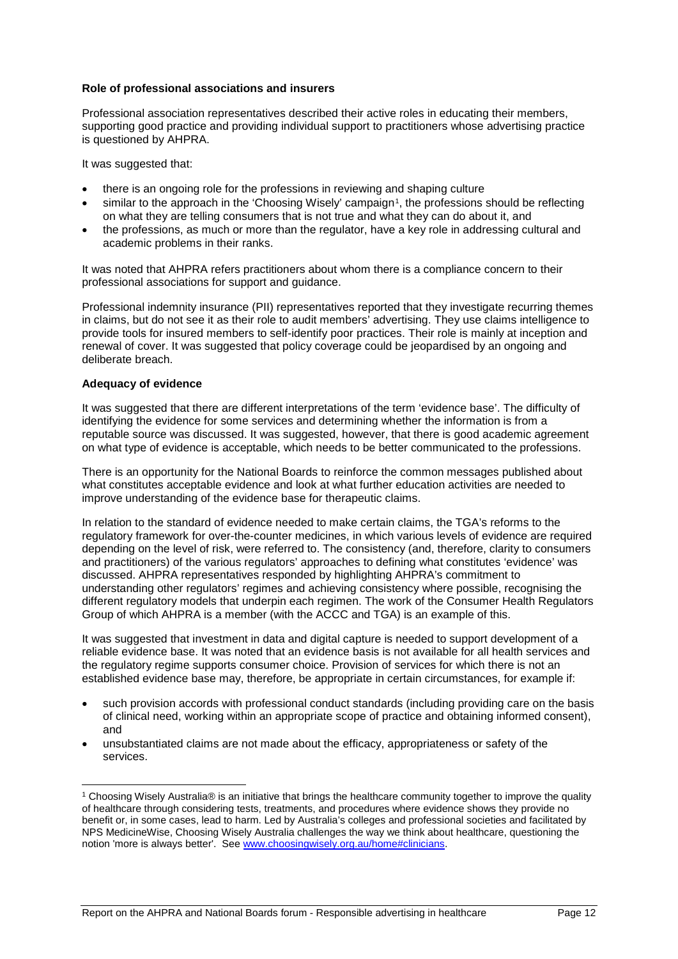### **Role of professional associations and insurers**

Professional association representatives described their active roles in educating their members, supporting good practice and providing individual support to practitioners whose advertising practice is questioned by AHPRA.

It was suggested that:

- there is an ongoing role for the professions in reviewing and shaping culture
- similar to the approach in the 'Choosing Wisely' campaign<sup>[1](#page-13-1)</sup>, the professions should be reflecting on what they are telling consumers that is not true and what they can do about it, and
- the professions, as much or more than the regulator, have a key role in addressing cultural and academic problems in their ranks.

It was noted that AHPRA refers practitioners about whom there is a compliance concern to their professional associations for support and guidance.

Professional indemnity insurance (PII) representatives reported that they investigate recurring themes in claims, but do not see it as their role to audit members' advertising. They use claims intelligence to provide tools for insured members to self-identify poor practices. Their role is mainly at inception and renewal of cover. It was suggested that policy coverage could be jeopardised by an ongoing and deliberate breach.

### <span id="page-13-0"></span>**Adequacy of evidence**

It was suggested that there are different interpretations of the term 'evidence base'. The difficulty of identifying the evidence for some services and determining whether the information is from a reputable source was discussed. It was suggested, however, that there is good academic agreement on what type of evidence is acceptable, which needs to be better communicated to the professions.

There is an opportunity for the National Boards to reinforce the common messages published about what constitutes acceptable evidence and look at what further education activities are needed to improve understanding of the evidence base for therapeutic claims.

In relation to the standard of evidence needed to make certain claims, the TGA's reforms to the regulatory framework for over-the-counter medicines, in which various levels of evidence are required depending on the level of risk, were referred to. The consistency (and, therefore, clarity to consumers and practitioners) of the various regulators' approaches to defining what constitutes 'evidence' was discussed. AHPRA representatives responded by highlighting AHPRA's commitment to understanding other regulators' regimes and achieving consistency where possible, recognising the different regulatory models that underpin each regimen. The work of the Consumer Health Regulators Group of which AHPRA is a member (with the ACCC and TGA) is an example of this.

It was suggested that investment in data and digital capture is needed to support development of a reliable evidence base. It was noted that an evidence basis is not available for all health services and the regulatory regime supports consumer choice. Provision of services for which there is not an established evidence base may, therefore, be appropriate in certain circumstances, for example if:

- such provision accords with professional conduct standards (including providing care on the basis of clinical need, working within an appropriate scope of practice and obtaining informed consent), and
- unsubstantiated claims are not made about the efficacy, appropriateness or safety of the services.

<span id="page-13-1"></span> <sup>1</sup> Choosing Wisely Australia® is an initiative that brings the healthcare community together to improve the quality of healthcare through considering tests, treatments, and procedures where evidence shows they provide no benefit or, in some cases, lead to harm. Led by Australia's colleges and professional societies and facilitated by NPS MedicineWise, Choosing Wisely Australia challenges the way we think about healthcare, questioning the notion 'more is always better'. Se[e www.choosingwisely.org.au/home#clinicians.](file://meerkat/AHPRA_National/Communications%20team/Projects/advertising/Advertising%20forum%20August%202017/advertising%20report%20and%20news%20item/www.choosingwisely.org.au/home)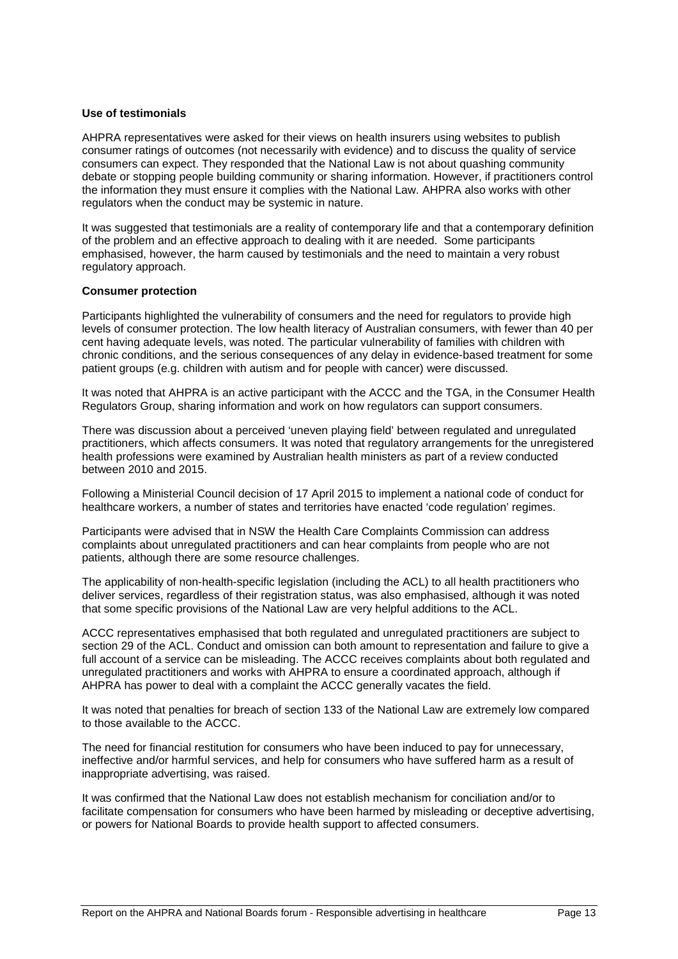### <span id="page-14-0"></span>**Use of testimonials**

AHPRA representatives were asked for their views on health insurers using websites to publish consumer ratings of outcomes (not necessarily with evidence) and to discuss the quality of service consumers can expect. They responded that the National Law is not about quashing community debate or stopping people building community or sharing information. However, if practitioners control the information they must ensure it complies with the National Law. AHPRA also works with other regulators when the conduct may be systemic in nature.

It was suggested that testimonials are a reality of contemporary life and that a contemporary definition of the problem and an effective approach to dealing with it are needed. Some participants emphasised, however, the harm caused by testimonials and the need to maintain a very robust regulatory approach.

### <span id="page-14-1"></span>**Consumer protection**

Participants highlighted the vulnerability of consumers and the need for regulators to provide high levels of consumer protection. The low health literacy of Australian consumers, with fewer than 40 per cent having adequate levels, was noted. The particular vulnerability of families with children with chronic conditions, and the serious consequences of any delay in evidence-based treatment for some patient groups (e.g. children with autism and for people with cancer) were discussed.

It was noted that AHPRA is an active participant with the ACCC and the TGA, in the Consumer Health Regulators Group, sharing information and work on how regulators can support consumers.

There was discussion about a perceived 'uneven playing field' between regulated and unregulated practitioners, which affects consumers. It was noted that regulatory arrangements for the unregistered health professions were examined by Australian health ministers as part of a review conducted between 2010 and 2015.

Following a Ministerial Council decision of 17 April 2015 to implement a national code of conduct for healthcare workers, a number of states and territories have enacted 'code regulation' regimes.

Participants were advised that in NSW the Health Care Complaints Commission can address complaints about unregulated practitioners and can hear complaints from people who are not patients, although there are some resource challenges.

The applicability of non-health-specific legislation (including the ACL) to all health practitioners who deliver services, regardless of their registration status, was also emphasised, although it was noted that some specific provisions of the National Law are very helpful additions to the ACL.

ACCC representatives emphasised that both regulated and unregulated practitioners are subject to section 29 of the ACL. Conduct and omission can both amount to representation and failure to give a full account of a service can be misleading. The ACCC receives complaints about both regulated and unregulated practitioners and works with AHPRA to ensure a coordinated approach, although if AHPRA has power to deal with a complaint the ACCC generally vacates the field.

It was noted that penalties for breach of section 133 of the National Law are extremely low compared to those available to the ACCC.

The need for financial restitution for consumers who have been induced to pay for unnecessary, ineffective and/or harmful services, and help for consumers who have suffered harm as a result of inappropriate advertising, was raised.

It was confirmed that the National Law does not establish mechanism for conciliation and/or to facilitate compensation for consumers who have been harmed by misleading or deceptive advertising, or powers for National Boards to provide health support to affected consumers.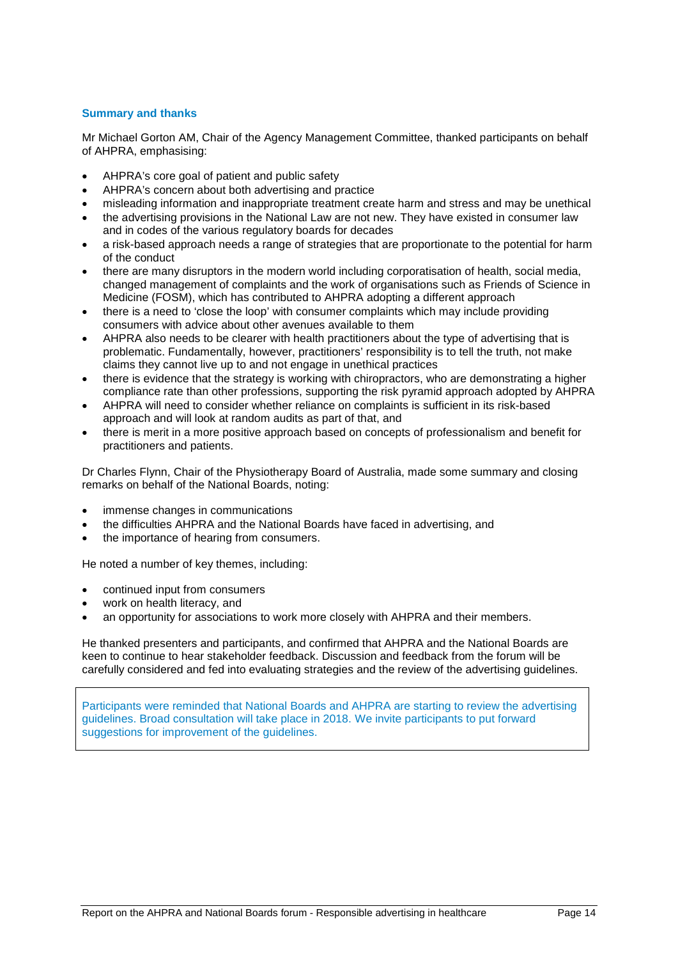### <span id="page-15-0"></span>**Summary and thanks**

Mr Michael Gorton AM, Chair of the Agency Management Committee, thanked participants on behalf of AHPRA, emphasising:

- AHPRA's core goal of patient and public safety
- AHPRA's concern about both advertising and practice
- misleading information and inappropriate treatment create harm and stress and may be unethical
- the advertising provisions in the National Law are not new. They have existed in consumer law and in codes of the various regulatory boards for decades
- a risk-based approach needs a range of strategies that are proportionate to the potential for harm of the conduct
- there are many disruptors in the modern world including corporatisation of health, social media, changed management of complaints and the work of organisations such as Friends of Science in Medicine (FOSM), which has contributed to AHPRA adopting a different approach
- there is a need to 'close the loop' with consumer complaints which may include providing consumers with advice about other avenues available to them
- AHPRA also needs to be clearer with health practitioners about the type of advertising that is problematic. Fundamentally, however, practitioners' responsibility is to tell the truth, not make claims they cannot live up to and not engage in unethical practices
- there is evidence that the strategy is working with chiropractors, who are demonstrating a higher compliance rate than other professions, supporting the risk pyramid approach adopted by AHPRA
- AHPRA will need to consider whether reliance on complaints is sufficient in its risk-based approach and will look at random audits as part of that, and
- there is merit in a more positive approach based on concepts of professionalism and benefit for practitioners and patients.

Dr Charles Flynn, Chair of the Physiotherapy Board of Australia, made some summary and closing remarks on behalf of the National Boards, noting:

- immense changes in communications
- the difficulties AHPRA and the National Boards have faced in advertising, and
- the importance of hearing from consumers.

He noted a number of key themes, including:

- continued input from consumers
- work on health literacy, and
- an opportunity for associations to work more closely with AHPRA and their members.

He thanked presenters and participants, and confirmed that AHPRA and the National Boards are keen to continue to hear stakeholder feedback. Discussion and feedback from the forum will be carefully considered and fed into evaluating strategies and the review of the advertising guidelines.

Participants were reminded that National Boards and AHPRA are starting to review the advertising guidelines. Broad consultation will take place in 2018. We invite participants to put forward suggestions for improvement of the guidelines.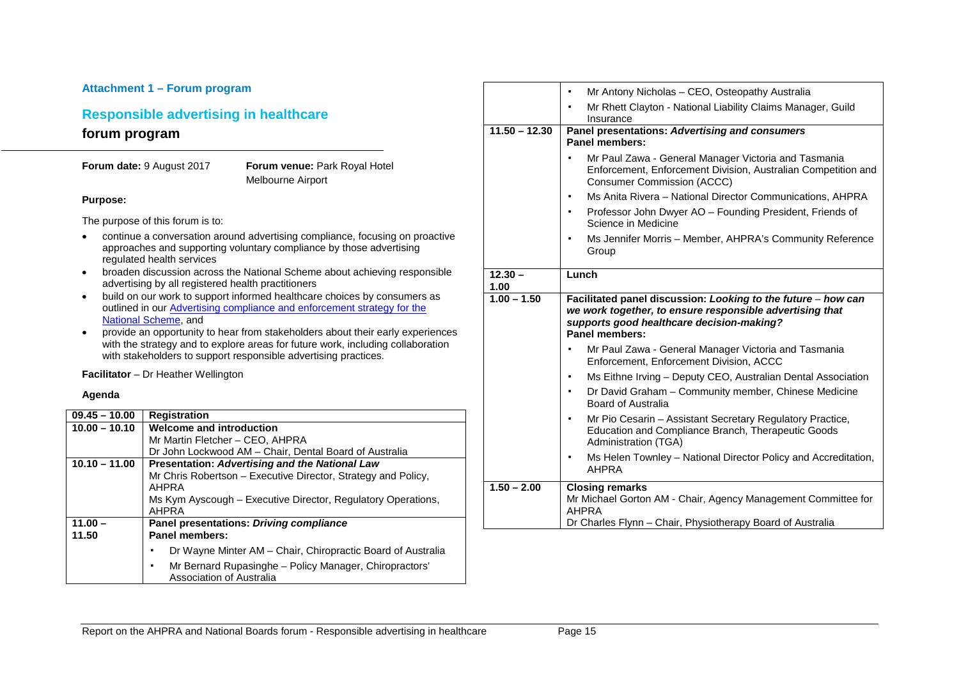### **Attachment 1 – Forum program Responsible advertising in healthcare forum program Forum date:** 9 August 2017 **Forum venue: Park Royal Hotel** Melbourne Airport **Purpose:** The purpose of this forum is to: • continue a conversation around advertising compliance, focusing on proactive approaches and supporting voluntary compliance by those advertising regulated health services • broaden discussion across the National Scheme about achieving responsible advertising by all registered health practitioners • build on our work to support informed healthcare choices by consumers as outlined in our [Advertising compliance and enforcement strategy for the](http://www.ahpra.gov.au/Publications/Advertising-resources/Legislation-guidelines.aspx)  [National Scheme,](http://www.ahpra.gov.au/Publications/Advertising-resources/Legislation-guidelines.aspx) and • provide an opportunity to hear from stakeholders about their early experiences with the strategy and to explore areas for future work, including collaboration with stakeholders to support responsible advertising practices. **Facilitator** – Dr Heather Wellington **Agenda 09.45 – 10.00 Registration 10.00 – 10.10 Welcome and introduction**  Mr Martin Fletcher – CEO, AHPRA Dr John Lockwood AM – Chair, Dental Board of Australia **10.10 – 11.00 Presentation:** *Advertising and the National Law* Mr Chris Robertson – Executive Director, Strategy and Policy, AHPRA Ms Kym Ayscough – Executive Director, Regulatory Operations, AHPRA **11.00 – 11.50 Panel presentations:** *Driving compliance*  **Panel members:** ▪ Dr Wayne Minter AM – Chair, Chiropractic Board of Australia ▪ Mr Bernard Rupasinghe – Policy Manager, Chiropractors' **12.30 – 1.00**

|                   | Mr Antony Nicholas - CEO, Osteopathy Australia                                                                                                             |
|-------------------|------------------------------------------------------------------------------------------------------------------------------------------------------------|
|                   | Mr Rhett Clayton - National Liability Claims Manager, Guild<br>Insurance                                                                                   |
| $11.50 - 12.30$   | Panel presentations: Advertising and consumers<br><b>Panel members:</b>                                                                                    |
|                   | Mr Paul Zawa - General Manager Victoria and Tasmania<br>Enforcement, Enforcement Division, Australian Competition and<br><b>Consumer Commission (ACCC)</b> |
|                   | Ms Anita Rivera - National Director Communications, AHPRA                                                                                                  |
|                   | Professor John Dwyer AO - Founding President, Friends of<br>٠<br>Science in Medicine                                                                       |
|                   | Ms Jennifer Morris – Member, AHPRA's Community Reference<br>Group                                                                                          |
| $12.30 -$<br>1.00 | Lunch                                                                                                                                                      |
| $1.00 - 1.50$     | Facilitated panel discussion: Looking to the future - how can                                                                                              |
|                   | we work together, to ensure responsible advertising that<br>supports good healthcare decision-making?<br><b>Panel members:</b>                             |
|                   | Mr Paul Zawa - General Manager Victoria and Tasmania<br>Enforcement, Enforcement Division, ACCC                                                            |
|                   | Ms Eithne Irving - Deputy CEO, Australian Dental Association<br>٠                                                                                          |
|                   | Dr David Graham - Community member, Chinese Medicine<br>٠<br>Board of Australia                                                                            |
|                   | Mr Pio Cesarin - Assistant Secretary Regulatory Practice,<br>Education and Compliance Branch, Therapeutic Goods<br>Administration (TGA)                    |
|                   | Ms Helen Townley - National Director Policy and Accreditation,<br>٠<br><b>AHPRA</b>                                                                        |
| $1.50 - 2.00$     | <b>Closing remarks</b><br>Mr Michael Gorton AM - Chair, Agency Management Committee for<br><b>AHPRA</b>                                                    |
|                   | Dr Charles Flynn - Chair, Physiotherapy Board of Australia                                                                                                 |

<span id="page-16-0"></span>Association of Australia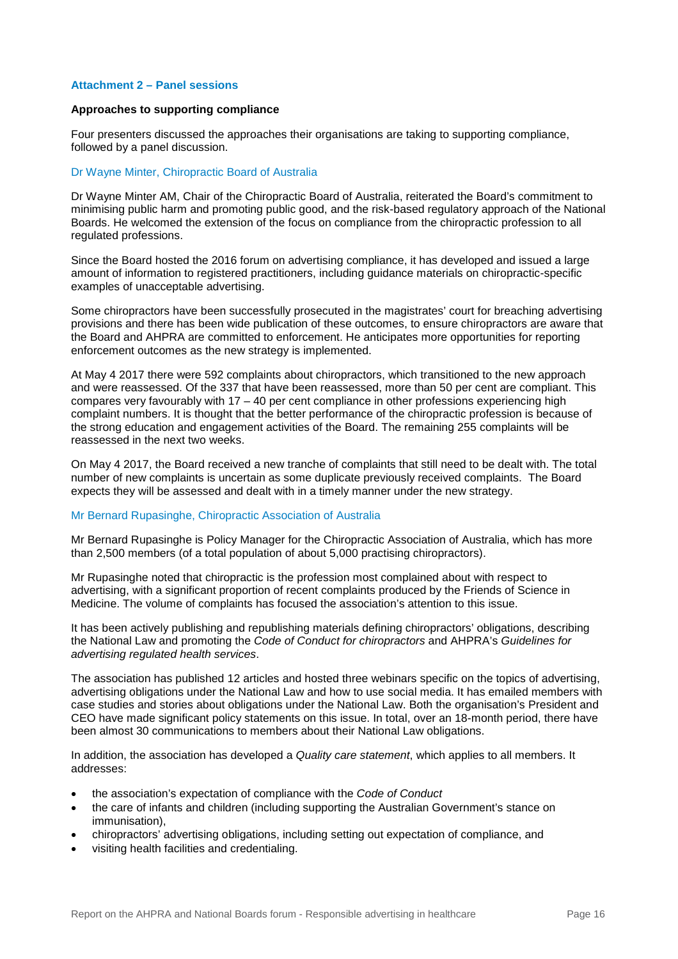### <span id="page-17-0"></span>**Attachment 2 – Panel sessions**

### <span id="page-17-1"></span>**Approaches to supporting compliance**

Four presenters discussed the approaches their organisations are taking to supporting compliance, followed by a panel discussion.

### Dr Wayne Minter, Chiropractic Board of Australia

Dr Wayne Minter AM, Chair of the Chiropractic Board of Australia, reiterated the Board's commitment to minimising public harm and promoting public good, and the risk-based regulatory approach of the National Boards. He welcomed the extension of the focus on compliance from the chiropractic profession to all regulated professions.

Since the Board hosted the 2016 forum on advertising compliance, it has developed and issued a large amount of information to registered practitioners, including guidance materials on chiropractic-specific examples of unacceptable advertising.

Some chiropractors have been successfully prosecuted in the magistrates' court for breaching advertising provisions and there has been wide publication of these outcomes, to ensure chiropractors are aware that the Board and AHPRA are committed to enforcement. He anticipates more opportunities for reporting enforcement outcomes as the new strategy is implemented.

At May 4 2017 there were 592 complaints about chiropractors, which transitioned to the new approach and were reassessed. Of the 337 that have been reassessed, more than 50 per cent are compliant. This compares very favourably with 17 – 40 per cent compliance in other professions experiencing high complaint numbers. It is thought that the better performance of the chiropractic profession is because of the strong education and engagement activities of the Board. The remaining 255 complaints will be reassessed in the next two weeks.

On May 4 2017, the Board received a new tranche of complaints that still need to be dealt with. The total number of new complaints is uncertain as some duplicate previously received complaints. The Board expects they will be assessed and dealt with in a timely manner under the new strategy.

### Mr Bernard Rupasinghe, Chiropractic Association of Australia

Mr Bernard Rupasinghe is Policy Manager for the Chiropractic Association of Australia, which has more than 2,500 members (of a total population of about 5,000 practising chiropractors).

Mr Rupasinghe noted that chiropractic is the profession most complained about with respect to advertising, with a significant proportion of recent complaints produced by the Friends of Science in Medicine. The volume of complaints has focused the association's attention to this issue.

It has been actively publishing and republishing materials defining chiropractors' obligations, describing the National Law and promoting the *Code of Conduct for chiropractors* and AHPRA's *Guidelines for advertising regulated health services*.

The association has published 12 articles and hosted three webinars specific on the topics of advertising, advertising obligations under the National Law and how to use social media. It has emailed members with case studies and stories about obligations under the National Law. Both the organisation's President and CEO have made significant policy statements on this issue. In total, over an 18-month period, there have been almost 30 communications to members about their National Law obligations.

In addition, the association has developed a *Quality care statement*, which applies to all members. It addresses:

- the association's expectation of compliance with the *Code of Conduct*
- the care of infants and children (including supporting the Australian Government's stance on immunisation),
- chiropractors' advertising obligations, including setting out expectation of compliance, and
- visiting health facilities and credentialing.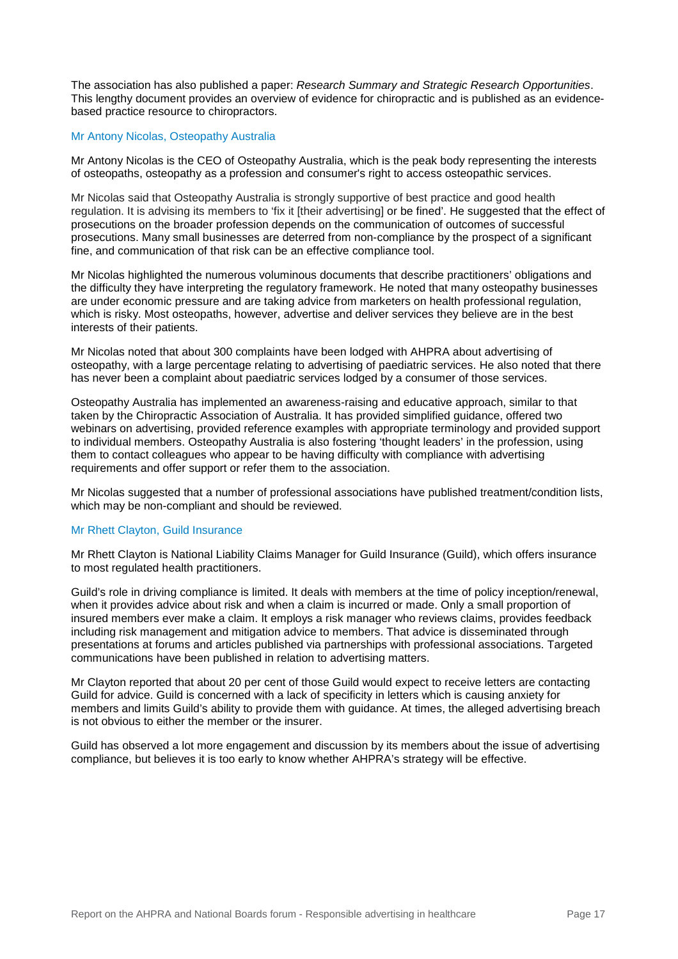The association has also published a paper: *Research Summary and Strategic Research Opportunities*. This lengthy document provides an overview of evidence for chiropractic and is published as an evidencebased practice resource to chiropractors.

### Mr Antony Nicolas, Osteopathy Australia

Mr Antony Nicolas is the CEO of Osteopathy Australia, which is the peak body representing the interests of osteopaths, osteopathy as a profession and consumer's right to access osteopathic services.

Mr Nicolas said that Osteopathy Australia is strongly supportive of best practice and good health regulation. It is advising its members to 'fix it [their advertising] or be fined'. He suggested that the effect of prosecutions on the broader profession depends on the communication of outcomes of successful prosecutions. Many small businesses are deterred from non-compliance by the prospect of a significant fine, and communication of that risk can be an effective compliance tool.

Mr Nicolas highlighted the numerous voluminous documents that describe practitioners' obligations and the difficulty they have interpreting the regulatory framework. He noted that many osteopathy businesses are under economic pressure and are taking advice from marketers on health professional regulation, which is risky. Most osteopaths, however, advertise and deliver services they believe are in the best interests of their patients.

Mr Nicolas noted that about 300 complaints have been lodged with AHPRA about advertising of osteopathy, with a large percentage relating to advertising of paediatric services. He also noted that there has never been a complaint about paediatric services lodged by a consumer of those services.

Osteopathy Australia has implemented an awareness-raising and educative approach, similar to that taken by the Chiropractic Association of Australia. It has provided simplified guidance, offered two webinars on advertising, provided reference examples with appropriate terminology and provided support to individual members. Osteopathy Australia is also fostering 'thought leaders' in the profession, using them to contact colleagues who appear to be having difficulty with compliance with advertising requirements and offer support or refer them to the association.

Mr Nicolas suggested that a number of professional associations have published treatment/condition lists, which may be non-compliant and should be reviewed.

### Mr Rhett Clayton, Guild Insurance

Mr Rhett Clayton is National Liability Claims Manager for Guild Insurance (Guild), which offers insurance to most regulated health practitioners.

Guild's role in driving compliance is limited. It deals with members at the time of policy inception/renewal, when it provides advice about risk and when a claim is incurred or made. Only a small proportion of insured members ever make a claim. It employs a risk manager who reviews claims, provides feedback including risk management and mitigation advice to members. That advice is disseminated through presentations at forums and articles published via partnerships with professional associations. Targeted communications have been published in relation to advertising matters.

Mr Clayton reported that about 20 per cent of those Guild would expect to receive letters are contacting Guild for advice. Guild is concerned with a lack of specificity in letters which is causing anxiety for members and limits Guild's ability to provide them with guidance. At times, the alleged advertising breach is not obvious to either the member or the insurer.

<span id="page-18-0"></span>Guild has observed a lot more engagement and discussion by its members about the issue of advertising compliance, but believes it is too early to know whether AHPRA's strategy will be effective.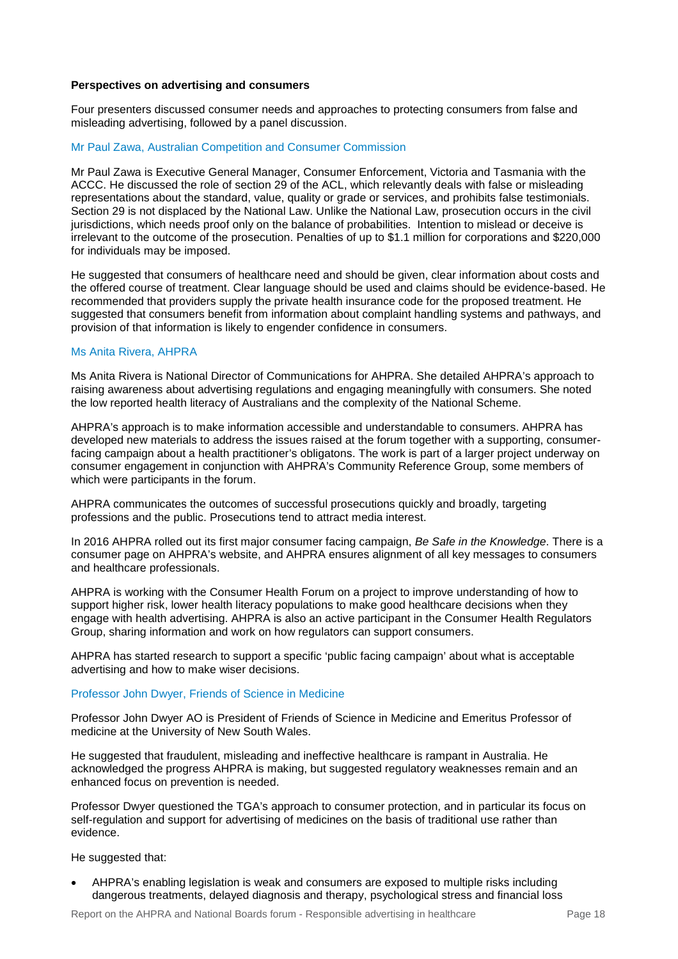### **Perspectives on advertising and consumers**

Four presenters discussed consumer needs and approaches to protecting consumers from false and misleading advertising, followed by a panel discussion.

### Mr Paul Zawa, Australian Competition and Consumer Commission

Mr Paul Zawa is Executive General Manager, Consumer Enforcement, Victoria and Tasmania with the ACCC. He discussed the role of section 29 of the ACL, which relevantly deals with false or misleading representations about the standard, value, quality or grade or services, and prohibits false testimonials. Section 29 is not displaced by the National Law. Unlike the National Law, prosecution occurs in the civil jurisdictions, which needs proof only on the balance of probabilities. Intention to mislead or deceive is irrelevant to the outcome of the prosecution. Penalties of up to \$1.1 million for corporations and \$220,000 for individuals may be imposed.

He suggested that consumers of healthcare need and should be given, clear information about costs and the offered course of treatment. Clear language should be used and claims should be evidence-based. He recommended that providers supply the private health insurance code for the proposed treatment. He suggested that consumers benefit from information about complaint handling systems and pathways, and provision of that information is likely to engender confidence in consumers.

### Ms Anita Rivera, AHPRA

Ms Anita Rivera is National Director of Communications for AHPRA. She detailed AHPRA's approach to raising awareness about advertising regulations and engaging meaningfully with consumers. She noted the low reported health literacy of Australians and the complexity of the National Scheme.

AHPRA's approach is to make information accessible and understandable to consumers. AHPRA has developed new materials to address the issues raised at the forum together with a supporting, consumerfacing campaign about a health practitioner's obligatons. The work is part of a larger project underway on consumer engagement in conjunction with AHPRA's Community Reference Group, some members of which were participants in the forum.

AHPRA communicates the outcomes of successful prosecutions quickly and broadly, targeting professions and the public. Prosecutions tend to attract media interest.

In 2016 AHPRA rolled out its first major consumer facing campaign, *Be Safe in the Knowledge*. There is a consumer page on AHPRA's website, and AHPRA ensures alignment of all key messages to consumers and healthcare professionals.

AHPRA is working with the Consumer Health Forum on a project to improve understanding of how to support higher risk, lower health literacy populations to make good healthcare decisions when they engage with health advertising. AHPRA is also an active participant in the Consumer Health Regulators Group, sharing information and work on how regulators can support consumers.

AHPRA has started research to support a specific 'public facing campaign' about what is acceptable advertising and how to make wiser decisions.

### Professor John Dwyer, Friends of Science in Medicine

Professor John Dwyer AO is President of Friends of Science in Medicine and Emeritus Professor of medicine at the University of New South Wales.

He suggested that fraudulent, misleading and ineffective healthcare is rampant in Australia. He acknowledged the progress AHPRA is making, but suggested regulatory weaknesses remain and an enhanced focus on prevention is needed.

Professor Dwyer questioned the TGA's approach to consumer protection, and in particular its focus on self-regulation and support for advertising of medicines on the basis of traditional use rather than evidence.

He suggested that:

• AHPRA's enabling legislation is weak and consumers are exposed to multiple risks including dangerous treatments, delayed diagnosis and therapy, psychological stress and financial loss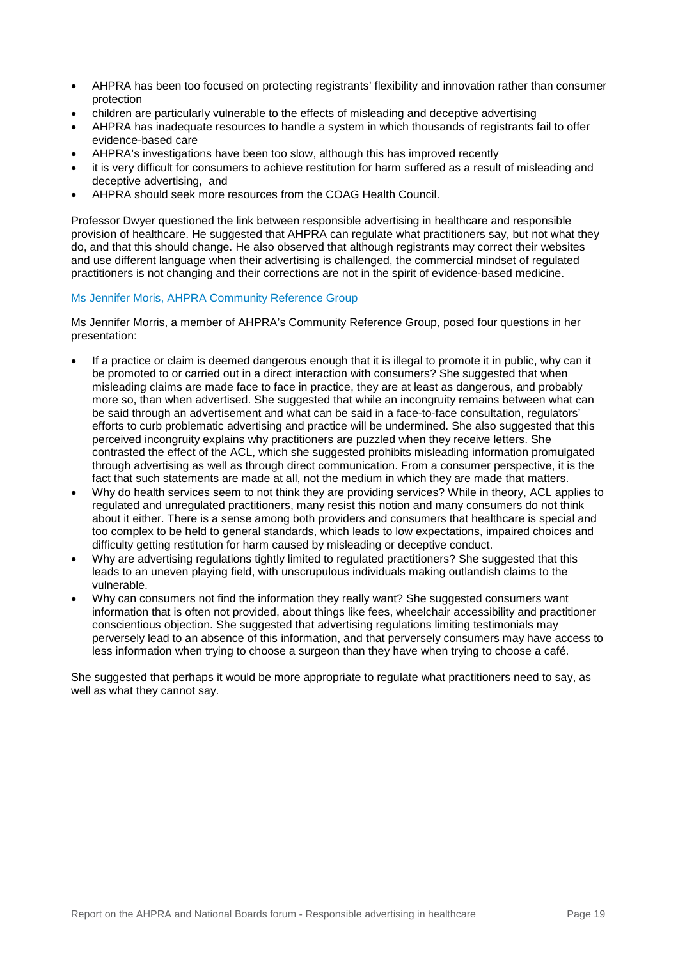- AHPRA has been too focused on protecting registrants' flexibility and innovation rather than consumer protection
- children are particularly vulnerable to the effects of misleading and deceptive advertising
- AHPRA has inadequate resources to handle a system in which thousands of registrants fail to offer evidence-based care
- AHPRA's investigations have been too slow, although this has improved recently
- it is very difficult for consumers to achieve restitution for harm suffered as a result of misleading and deceptive advertising, and
- AHPRA should seek more resources from the COAG Health Council.

Professor Dwyer questioned the link between responsible advertising in healthcare and responsible provision of healthcare. He suggested that AHPRA can regulate what practitioners say, but not what they do, and that this should change. He also observed that although registrants may correct their websites and use different language when their advertising is challenged, the commercial mindset of regulated practitioners is not changing and their corrections are not in the spirit of evidence-based medicine.

### Ms Jennifer Moris, AHPRA Community Reference Group

Ms Jennifer Morris, a member of AHPRA's Community Reference Group, posed four questions in her presentation:

- If a practice or claim is deemed dangerous enough that it is illegal to promote it in public, why can it be promoted to or carried out in a direct interaction with consumers? She suggested that when misleading claims are made face to face in practice, they are at least as dangerous, and probably more so, than when advertised. She suggested that while an incongruity remains between what can be said through an advertisement and what can be said in a face-to-face consultation, regulators' efforts to curb problematic advertising and practice will be undermined. She also suggested that this perceived incongruity explains why practitioners are puzzled when they receive letters. She contrasted the effect of the ACL, which she suggested prohibits misleading information promulgated through advertising as well as through direct communication. From a consumer perspective, it is the fact that such statements are made at all, not the medium in which they are made that matters.
- Why do health services seem to not think they are providing services? While in theory, ACL applies to regulated and unregulated practitioners, many resist this notion and many consumers do not think about it either. There is a sense among both providers and consumers that healthcare is special and too complex to be held to general standards, which leads to low expectations, impaired choices and difficulty getting restitution for harm caused by misleading or deceptive conduct.
- Why are advertising regulations tightly limited to regulated practitioners? She suggested that this leads to an uneven playing field, with unscrupulous individuals making outlandish claims to the vulnerable.
- Why can consumers not find the information they really want? She suggested consumers want information that is often not provided, about things like fees, wheelchair accessibility and practitioner conscientious objection. She suggested that advertising regulations limiting testimonials may perversely lead to an absence of this information, and that perversely consumers may have access to less information when trying to choose a surgeon than they have when trying to choose a café.

<span id="page-20-0"></span>She suggested that perhaps it would be more appropriate to regulate what practitioners need to say, as well as what they cannot say.